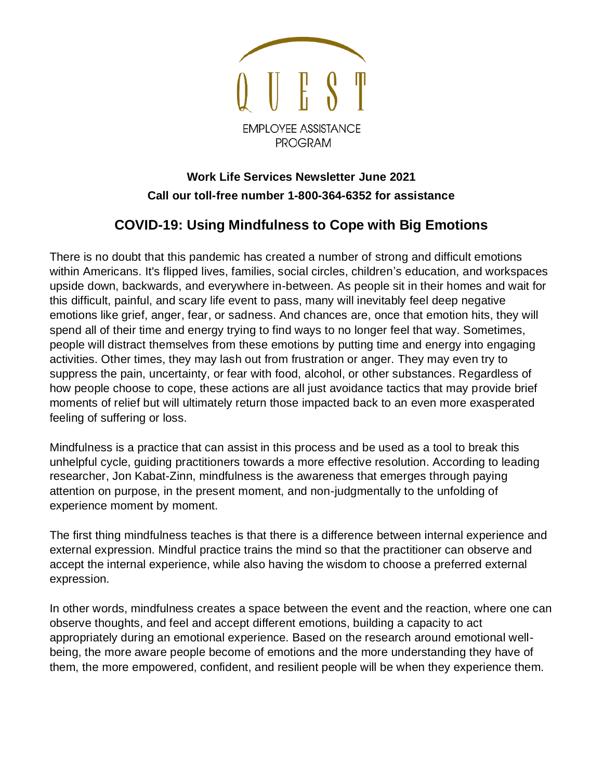

## **Work Life Services Newsletter June 2021 Call our toll-free number 1-800-364-6352 for assistance**

## **COVID-19: Using Mindfulness to Cope with Big Emotions**

There is no doubt that this pandemic has created a number of strong and difficult emotions within Americans. It's flipped lives, families, social circles, children's education, and workspaces upside down, backwards, and everywhere in-between. As people sit in their homes and wait for this difficult, painful, and scary life event to pass, many will inevitably feel deep negative emotions like grief, anger, fear, or sadness. And chances are, once that emotion hits, they will spend all of their time and energy trying to find ways to no longer feel that way. Sometimes, people will distract themselves from these emotions by putting time and energy into engaging activities. Other times, they may lash out from frustration or anger. They may even try to suppress the pain, uncertainty, or fear with food, alcohol, or other substances. Regardless of how people choose to cope, these actions are all just avoidance tactics that may provide brief moments of relief but will ultimately return those impacted back to an even more exasperated feeling of suffering or loss.

Mindfulness is a practice that can assist in this process and be used as a tool to break this unhelpful cycle, guiding practitioners towards a more effective resolution. According to leading researcher, Jon Kabat-Zinn, mindfulness is the awareness that emerges through paying attention on purpose, in the present moment, and non-judgmentally to the unfolding of experience moment by moment.

The first thing mindfulness teaches is that there is a difference between internal experience and external expression. Mindful practice trains the mind so that the practitioner can observe and accept the internal experience, while also having the wisdom to choose a preferred external expression.

In other words, mindfulness creates a space between the event and the reaction, where one can observe thoughts, and feel and accept different emotions, building a capacity to act appropriately during an emotional experience. Based on the research around emotional wellbeing, the more aware people become of emotions and the more understanding they have of them, the more empowered, confident, and resilient people will be when they experience them.